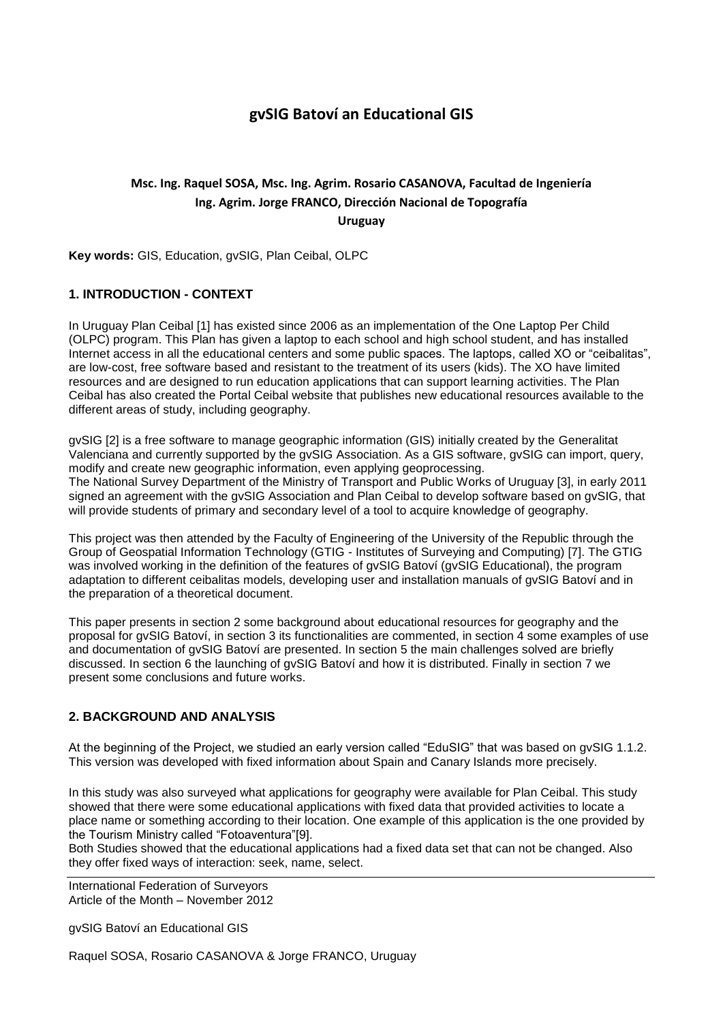# **gvSIG Batoví an Educational GIS**

# **Msc. Ing. Raquel SOSA, Msc. Ing. Agrim. Rosario CASANOVA, Facultad de Ingeniería Ing. Agrim. Jorge FRANCO, Dirección Nacional de Topografía Uruguay**

**Key words:** GIS, Education, gvSIG, Plan Ceibal, OLPC

# **1. INTRODUCTION - CONTEXT**

In Uruguay Plan Ceibal [1] has existed since 2006 as an implementation of the One Laptop Per Child (OLPC) program. This Plan has given a laptop to each school and high school student, and has installed Internet access in all the educational centers and some public spaces. The laptops, called XO or "ceibalitas", are low-cost, free software based and resistant to the treatment of its users (kids). The XO have limited resources and are designed to run education applications that can support learning activities. The Plan Ceibal has also created the Portal Ceibal website that publishes new educational resources available to the different areas of study, including geography.

gvSIG [2] is a free software to manage geographic information (GIS) initially created by the Generalitat Valenciana and currently supported by the gvSIG Association. As a GIS software, gvSIG can import, query, modify and create new geographic information, even applying geoprocessing. The National Survey Department of the Ministry of Transport and Public Works of Uruguay [3], in early 2011 signed an agreement with the gvSIG Association and Plan Ceibal to develop software based on gvSIG, that will provide students of primary and secondary level of a tool to acquire knowledge of geography.

This project was then attended by the Faculty of Engineering of the University of the Republic through the Group of Geospatial Information Technology (GTIG - Institutes of Surveying and Computing) [7]. The GTIG was involved working in the definition of the features of gvSIG Batoví (gvSIG Educational), the program adaptation to different ceibalitas models, developing user and installation manuals of gvSIG Batoví and in the preparation of a theoretical document.

This paper presents in section 2 some background about educational resources for geography and the proposal for gvSIG Batoví, in section 3 its functionalities are commented, in section 4 some examples of use and documentation of gvSIG Batoví are presented. In section 5 the main challenges solved are briefly discussed. In section 6 the launching of gvSIG Batoví and how it is distributed. Finally in section 7 we present some conclusions and future works.

## **2. BACKGROUND AND ANALYSIS**

At the beginning of the Project, we studied an early version called "EduSIG" that was based on gvSIG 1.1.2. This version was developed with fixed information about Spain and Canary Islands more precisely.

In this study was also surveyed what applications for geography were available for Plan Ceibal. This study showed that there were some educational applications with fixed data that provided activities to locate a place name or something according to their location. One example of this application is the one provided by the Tourism Ministry called "Fotoaventura"[9].

Both Studies showed that the educational applications had a fixed data set that can not be changed. Also they offer fixed ways of interaction: seek, name, select.

International Federation of Surveyors Article of the Month – November 2012

gvSIG Batoví an Educational GIS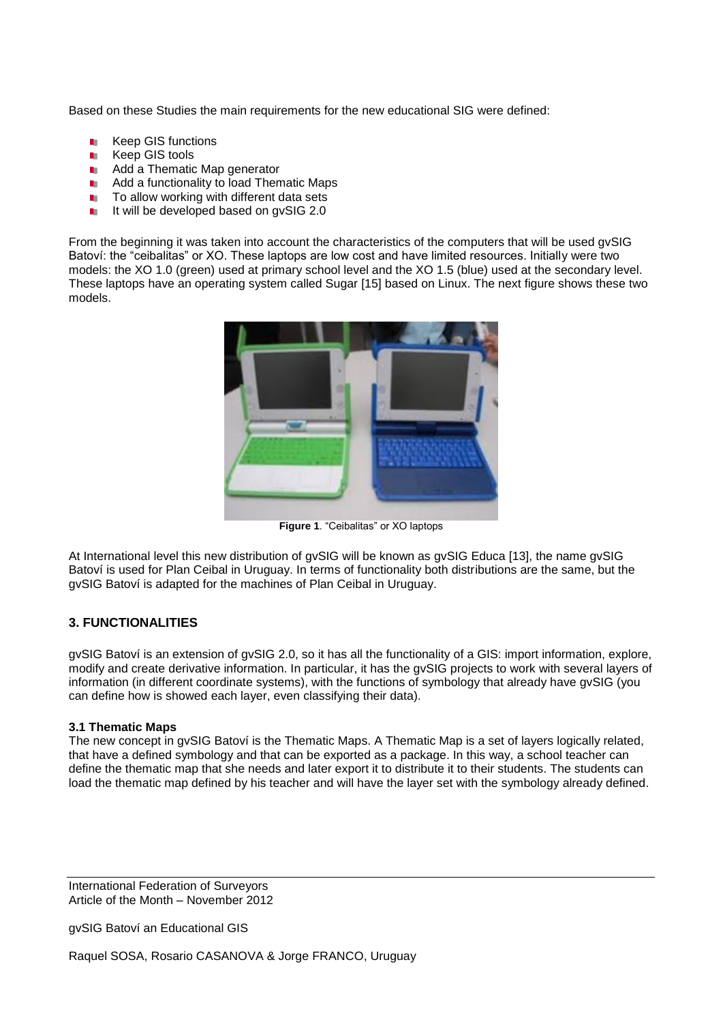Based on these Studies the main requirements for the new educational SIG were defined:

- Keep GIS functions m.
- Keep GIS tools m.
- Add a Thematic Map generator m.
- Add a functionality to load Thematic Maps m.
- To allow working with different data sets m.
- It will be developed based on gvSIG 2.0 m.

From the beginning it was taken into account the characteristics of the computers that will be used gvSIG Batoví: the "ceibalitas" or XO. These laptops are low cost and have limited resources. Initially were two models: the XO 1.0 (green) used at primary school level and the XO 1.5 (blue) used at the secondary level. These laptops have an operating system called Sugar [15] based on Linux. The next figure shows these two models.



**Figure 1**. "Ceibalitas" or XO laptops

At International level this new distribution of gvSIG will be known as gvSIG Educa [13], the name gvSIG Batoví is used for Plan Ceibal in Uruguay. In terms of functionality both distributions are the same, but the gvSIG Batoví is adapted for the machines of Plan Ceibal in Uruguay.

## **3. FUNCTIONALITIES**

gvSIG Batoví is an extension of gvSIG 2.0, so it has all the functionality of a GIS: import information, explore, modify and create derivative information. In particular, it has the gvSIG projects to work with several layers of information (in different coordinate systems), with the functions of symbology that already have gvSIG (you can define how is showed each layer, even classifying their data).

#### **3.1 Thematic Maps**

The new concept in gvSIG Batoví is the Thematic Maps. A Thematic Map is a set of layers logically related, that have a defined symbology and that can be exported as a package. In this way, a school teacher can define the thematic map that she needs and later export it to distribute it to their students. The students can load the thematic map defined by his teacher and will have the layer set with the symbology already defined.

International Federation of Surveyors Article of the Month – November 2012

gvSIG Batoví an Educational GIS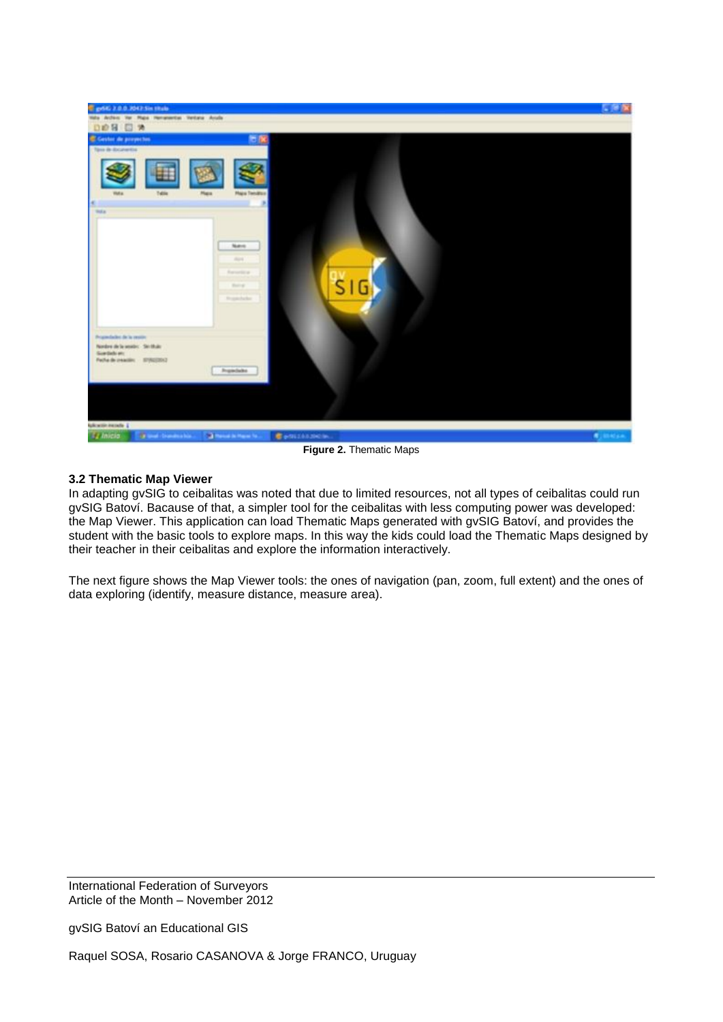

**Figure 2.** Thematic Maps

# **3.2 Thematic Map Viewer**

In adapting gvSIG to ceibalitas was noted that due to limited resources, not all types of ceibalitas could run gvSIG Batoví. Bacause of that, a simpler tool for the ceibalitas with less computing power was developed: the Map Viewer. This application can load Thematic Maps generated with gvSIG Batoví, and provides the student with the basic tools to explore maps. In this way the kids could load the Thematic Maps designed by their teacher in their ceibalitas and explore the information interactively.

The next figure shows the Map Viewer tools: the ones of navigation (pan, zoom, full extent) and the ones of data exploring (identify, measure distance, measure area).

International Federation of Surveyors Article of the Month – November 2012

gvSIG Batoví an Educational GIS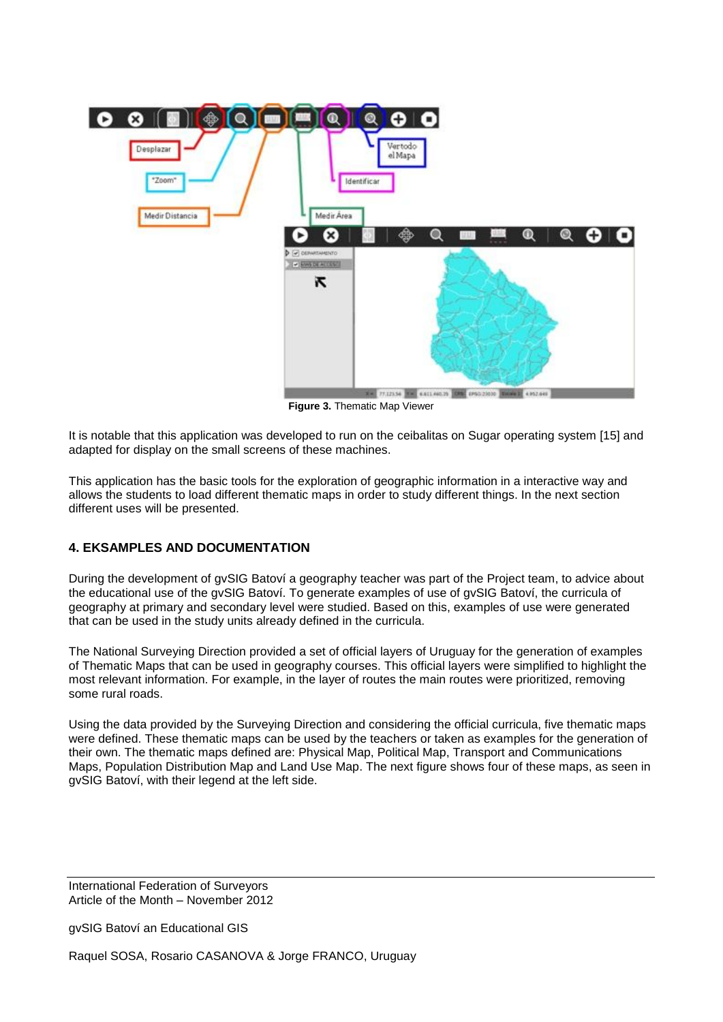

**Figure 3.** Thematic Map Viewer

It is notable that this application was developed to run on the ceibalitas on Sugar operating system [15] and adapted for display on the small screens of these machines.

This application has the basic tools for the exploration of geographic information in a interactive way and allows the students to load different thematic maps in order to study different things. In the next section different uses will be presented.

# **4. EKSAMPLES AND DOCUMENTATION**

During the development of gvSIG Batoví a geography teacher was part of the Project team, to advice about the educational use of the gvSIG Batoví. To generate examples of use of gvSIG Batoví, the curricula of geography at primary and secondary level were studied. Based on this, examples of use were generated that can be used in the study units already defined in the curricula.

The National Surveying Direction provided a set of official layers of Uruguay for the generation of examples of Thematic Maps that can be used in geography courses. This official layers were simplified to highlight the most relevant information. For example, in the layer of routes the main routes were prioritized, removing some rural roads.

Using the data provided by the Surveying Direction and considering the official curricula, five thematic maps were defined. These thematic maps can be used by the teachers or taken as examples for the generation of their own. The thematic maps defined are: Physical Map, Political Map, Transport and Communications Maps, Population Distribution Map and Land Use Map. The next figure shows four of these maps, as seen in gvSIG Batoví, with their legend at the left side.

International Federation of Surveyors Article of the Month – November 2012

gvSIG Batoví an Educational GIS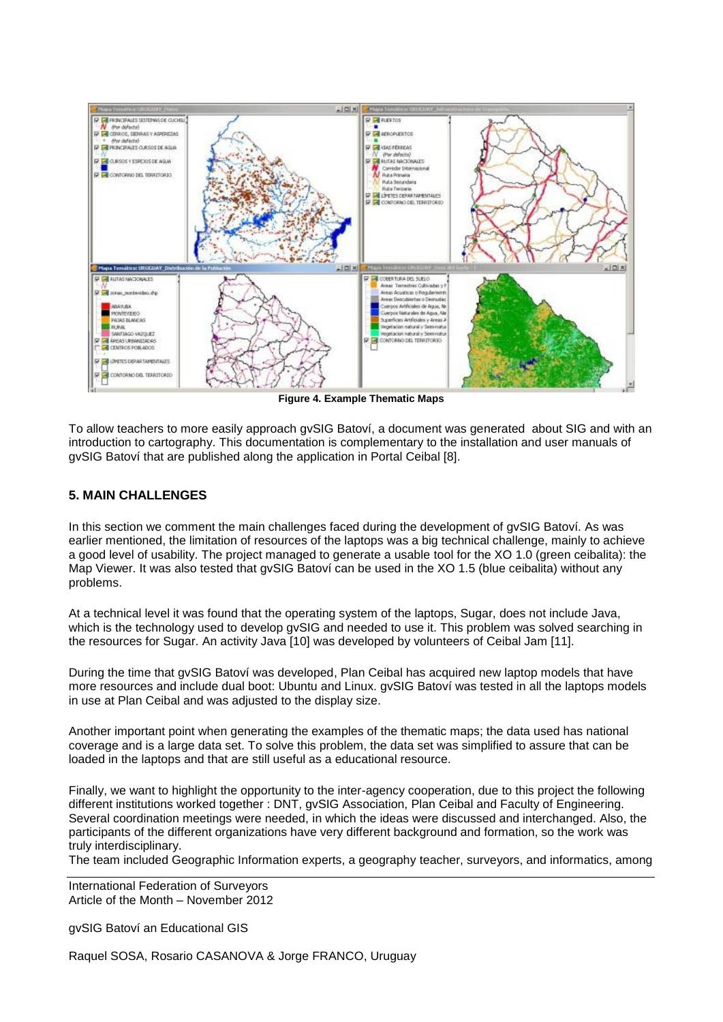

**Figure 4. Example Thematic Maps** 

To allow teachers to more easily approach gvSIG Batoví, a document was generated about SIG and with an introduction to cartography. This documentation is complementary to the installation and user manuals of gvSIG Batoví that are published along the application in Portal Ceibal [8].

# **5. MAIN CHALLENGES**

In this section we comment the main challenges faced during the development of gvSIG Batoví. As was earlier mentioned, the limitation of resources of the laptops was a big technical challenge, mainly to achieve a good level of usability. The project managed to generate a usable tool for the XO 1.0 (green ceibalita): the Map Viewer. It was also tested that gvSIG Batoví can be used in the XO 1.5 (blue ceibalita) without any problems.

At a technical level it was found that the operating system of the laptops, Sugar, does not include Java, which is the technology used to develop gvSIG and needed to use it. This problem was solved searching in the resources for Sugar. An activity Java [10] was developed by volunteers of Ceibal Jam [11].

During the time that gvSIG Batoví was developed, Plan Ceibal has acquired new laptop models that have more resources and include dual boot: Ubuntu and Linux. gvSIG Batoví was tested in all the laptops models in use at Plan Ceibal and was adjusted to the display size.

Another important point when generating the examples of the thematic maps; the data used has national coverage and is a large data set. To solve this problem, the data set was simplified to assure that can be loaded in the laptops and that are still useful as a educational resource.

Finally, we want to highlight the opportunity to the inter-agency cooperation, due to this project the following different institutions worked together : DNT, gvSIG Association, Plan Ceibal and Faculty of Engineering. Several coordination meetings were needed, in which the ideas were discussed and interchanged. Also, the participants of the different organizations have very different background and formation, so the work was truly interdisciplinary.

The team included Geographic Information experts, a geography teacher, surveyors, and informatics, among

International Federation of Surveyors Article of the Month – November 2012

gvSIG Batoví an Educational GIS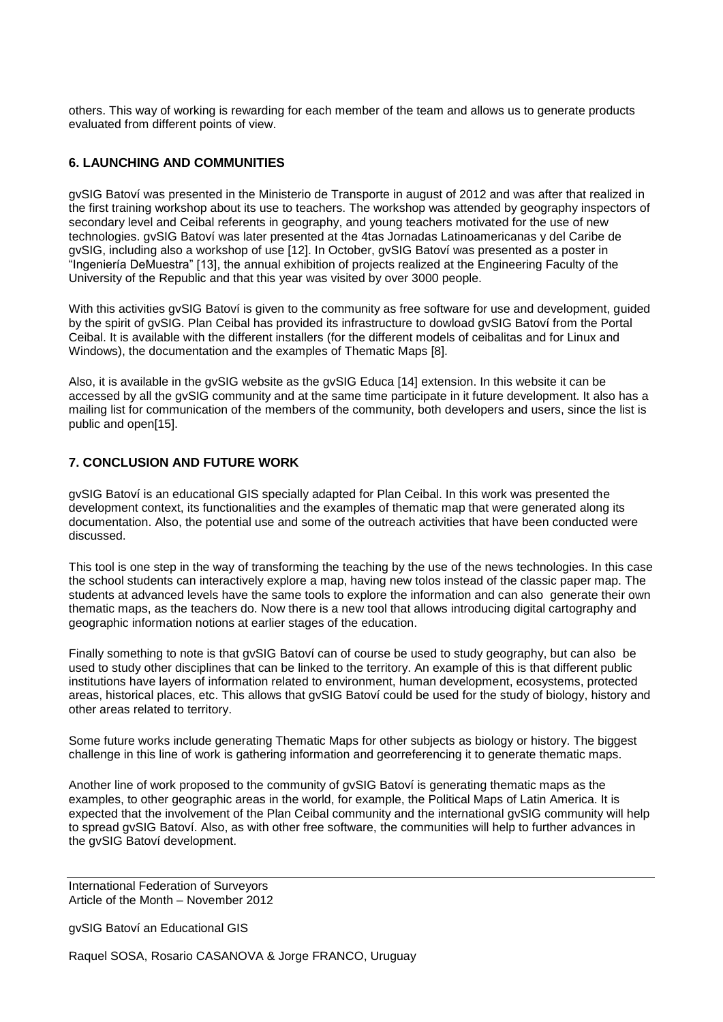others. This way of working is rewarding for each member of the team and allows us to generate products evaluated from different points of view.

#### **6. LAUNCHING AND COMMUNITIES**

gvSIG Batoví was presented in the Ministerio de Transporte in august of 2012 and was after that realized in the first training workshop about its use to teachers. The workshop was attended by geography inspectors of secondary level and Ceibal referents in geography, and young teachers motivated for the use of new technologies. gvSIG Batoví was later presented at the 4tas Jornadas Latinoamericanas y del Caribe de gvSIG, including also a workshop of use [12]. In October, gvSIG Batoví was presented as a poster in "Ingeniería DeMuestra" [13], the annual exhibition of projects realized at the Engineering Faculty of the University of the Republic and that this year was visited by over 3000 people.

With this activities gvSIG Batoví is given to the community as free software for use and development, guided by the spirit of gvSIG. Plan Ceibal has provided its infrastructure to dowload gvSIG Batoví from the Portal Ceibal. It is available with the different installers (for the different models of ceibalitas and for Linux and Windows), the documentation and the examples of Thematic Maps [8].

Also, it is available in the gvSIG website as the gvSIG Educa [14] extension. In this website it can be accessed by all the gvSIG community and at the same time participate in it future development. It also has a mailing list for communication of the members of the community, both developers and users, since the list is public and open[15].

## **7. CONCLUSION AND FUTURE WORK**

gvSIG Batoví is an educational GIS specially adapted for Plan Ceibal. In this work was presented the development context, its functionalities and the examples of thematic map that were generated along its documentation. Also, the potential use and some of the outreach activities that have been conducted were discussed.

This tool is one step in the way of transforming the teaching by the use of the news technologies. In this case the school students can interactively explore a map, having new tolos instead of the classic paper map. The students at advanced levels have the same tools to explore the information and can also generate their own thematic maps, as the teachers do. Now there is a new tool that allows introducing digital cartography and geographic information notions at earlier stages of the education.

Finally something to note is that gvSIG Batoví can of course be used to study geography, but can also be used to study other disciplines that can be linked to the territory. An example of this is that different public institutions have layers of information related to environment, human development, ecosystems, protected areas, historical places, etc. This allows that gvSIG Batoví could be used for the study of biology, history and other areas related to territory.

Some future works include generating Thematic Maps for other subjects as biology or history. The biggest challenge in this line of work is gathering information and georreferencing it to generate thematic maps.

Another line of work proposed to the community of gvSIG Batoví is generating thematic maps as the examples, to other geographic areas in the world, for example, the Political Maps of Latin America. It is expected that the involvement of the Plan Ceibal community and the international gvSIG community will help to spread gvSIG Batoví. Also, as with other free software, the communities will help to further advances in the gvSIG Batoví development.

International Federation of Surveyors Article of the Month – November 2012

gvSIG Batoví an Educational GIS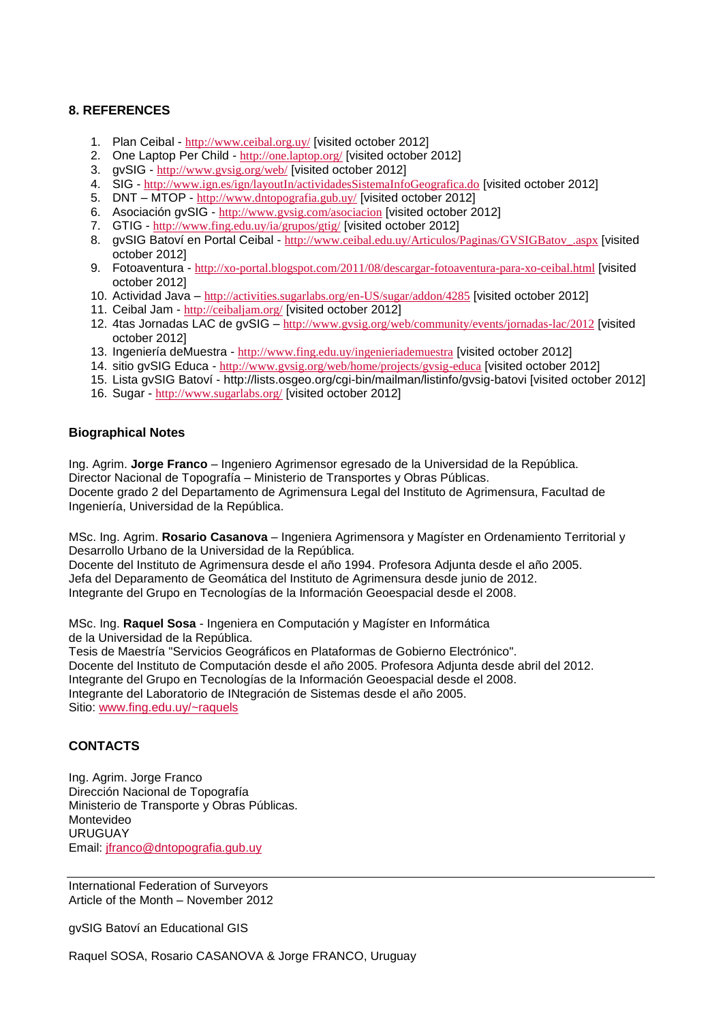# **8. REFERENCES**

- 1. Plan Ceibal <http://www.ceibal.org.uy/> [visited october 2012]
- 2. One Laptop Per Child <http://one.laptop.org/> [visited october 2012]
- 3. gvSIG <http://www.gvsig.org/web/> [visited october 2012]
- 4. SIG <http://www.ign.es/ign/layoutIn/actividadesSistemaInfoGeografica.do> [visited october 2012]
- 5. DNT MTOP <http://www.dntopografia.gub.uy/> [visited october 2012]
- 6. Asociación gvSIG <http://www.gvsig.com/asociacion> [visited october 2012]
- 7. GTIG <http://www.fing.edu.uy/ia/grupos/gtig/> [visited october 2012]
- 8. gvSIG Batoví en Portal Ceibal [http://www.ceibal.edu.uy/Articulos/Paginas/GVSIGBatov\\_.aspx](http://www.ceibal.edu.uy/Articulos/Paginas/GVSIGBatov_.aspx) [visited october 2012]
- 9. Fotoaventura <http://xo-portal.blogspot.com/2011/08/descargar-fotoaventura-para-xo-ceibal.html> [visited october 2012]
- 10. Actividad Java <http://activities.sugarlabs.org/en-US/sugar/addon/4285> [visited october 2012]
- 11. Ceibal Jam <http://ceibaljam.org/> [visited october 2012]
- 12. 4tas Jornadas LAC de gvSIG <http://www.gvsig.org/web/community/events/jornadas-lac/2012> [visited october 2012]
- 13. Ingeniería deMuestra <http://www.fing.edu.uy/ingenieriademuestra> [visited october 2012]
- 14. sitio gvSIG Educa <http://www.gvsig.org/web/home/projects/gvsig-educa> [visited october 2012]
- 15. Lista gvSIG Batoví http://lists.osgeo.org/cgi-bin/mailman/listinfo/gvsig-batovi [visited october 2012]
- 16. Sugar <http://www.sugarlabs.org/> [visited october 2012]

## **Biographical Notes**

Ing. Agrim. **Jorge Franco** – Ingeniero Agrimensor egresado de la Universidad de la República. Director Nacional de Topografía – Ministerio de Transportes y Obras Públicas. Docente grado 2 del Departamento de Agrimensura Legal del Instituto de Agrimensura, Facultad de Ingeniería, Universidad de la República.

MSc. Ing. Agrim. **Rosario Casanova** – Ingeniera Agrimensora y Magíster en Ordenamiento Territorial y Desarrollo Urbano de la Universidad de la República.

Docente del Instituto de Agrimensura desde el año 1994. Profesora Adjunta desde el año 2005. Jefa del Deparamento de Geomática del Instituto de Agrimensura desde junio de 2012. Integrante del Grupo en Tecnologías de la Información Geoespacial desde el 2008.

MSc. Ing. **Raquel Sosa** - Ingeniera en Computación y Magíster en Informática de la Universidad de la República.

Tesis de Maestría "Servicios Geográficos en Plataformas de Gobierno Electrónico". Docente del Instituto de Computación desde el año 2005. Profesora Adjunta desde abril del 2012. Integrante del Grupo en Tecnologías de la Información Geoespacial desde el 2008. Integrante del Laboratorio de INtegración de Sistemas desde el año 2005. Sitio: [www.fing.edu.uy/~raquels](http://www.fing.edu.uy/~raquels)

## **CONTACTS**

Ing. Agrim. Jorge Franco Dirección Nacional de Topografía Ministerio de Transporte y Obras Públicas. Montevideo URUGUAY Email: [jfranco@dntopografia.gub.uy](mailto:jfranco@dntopografia.gub.uy)

International Federation of Surveyors Article of the Month – November 2012

gvSIG Batoví an Educational GIS